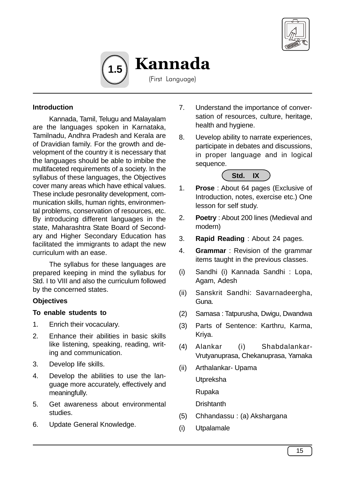



(First Language)

## **Introduction**

Kannada, Tamil, Telugu and Malayalam are the languages spoken in Karnataka, Tamilnadu, Andhra Pradesh and Kerala are of Dravidian family. For the growth and development of the country it is necessary that the languages should be able to imbibe the multifaceted requirements of a society. In the syllabus of these languages, the Objectives cover many areas which have ethical values. These include pesronality development, communication skills, human rights, environmental problems, conservation of resources, etc. By introducing different languages in the state, Maharashtra State Board of Secondary and Higher Secondary Education has facilitated the immigrants to adapt the new curriculum with an ease.

The syllabus for these languages are prepared keeping in mind the syllabus for Std. I to VIII and also the curriculum followed by the concerned states.

## **Objectives**

## **To enable students to**

- 1. Enrich their vocaculary.
- 2. Enhance their abilities in basic skills like listening, speaking, reading, writing and communication.
- 3. Develop life skills.
- 4. Develop the abilities to use the language more accurately, effectively and meaningfully.
- 5. Get awareness about environmental studies.
- 6. Update General Knowledge.
- 7. Understand the importance of conversation of resources, culture, heritage, health and hygiene.
- 8. Uevelop ability to narrate experiences, participate in debates and discussions, in proper language and in logical sequence.



- 1. **Prose** : About 64 pages (Exclusive of Introduction, notes, exercise etc.) One lesson for self study.
- 2. **Poetry** : About 200 lines (Medieval and modern)
- 3. **Rapid Reading** : About 24 pages.
- 4. **Grammar** : Revision of the grammar items taught in the previous classes.
- (i) Sandhi (i) Kannada Sandhi : Lopa, Agam, Adesh
- (ii) Sanskrit Sandhi: Savarnadeergha, Guna.
- (2) Samasa : Tatpurusha, Dwigu, Dwandwa
- (3) Parts of Sentence: Karthru, Karma, Kriya.
- (4) Alankar (i) Shabdalankar-Vrutyanuprasa, Chekanuprasa, Yamaka
- (ii) Arthalankar- Upama
	- **Utpreksha**
	- Rupaka
	- **Drishtanth**
- (5) Chhandassu : (a) Akshargana
- (i) Utpalamale